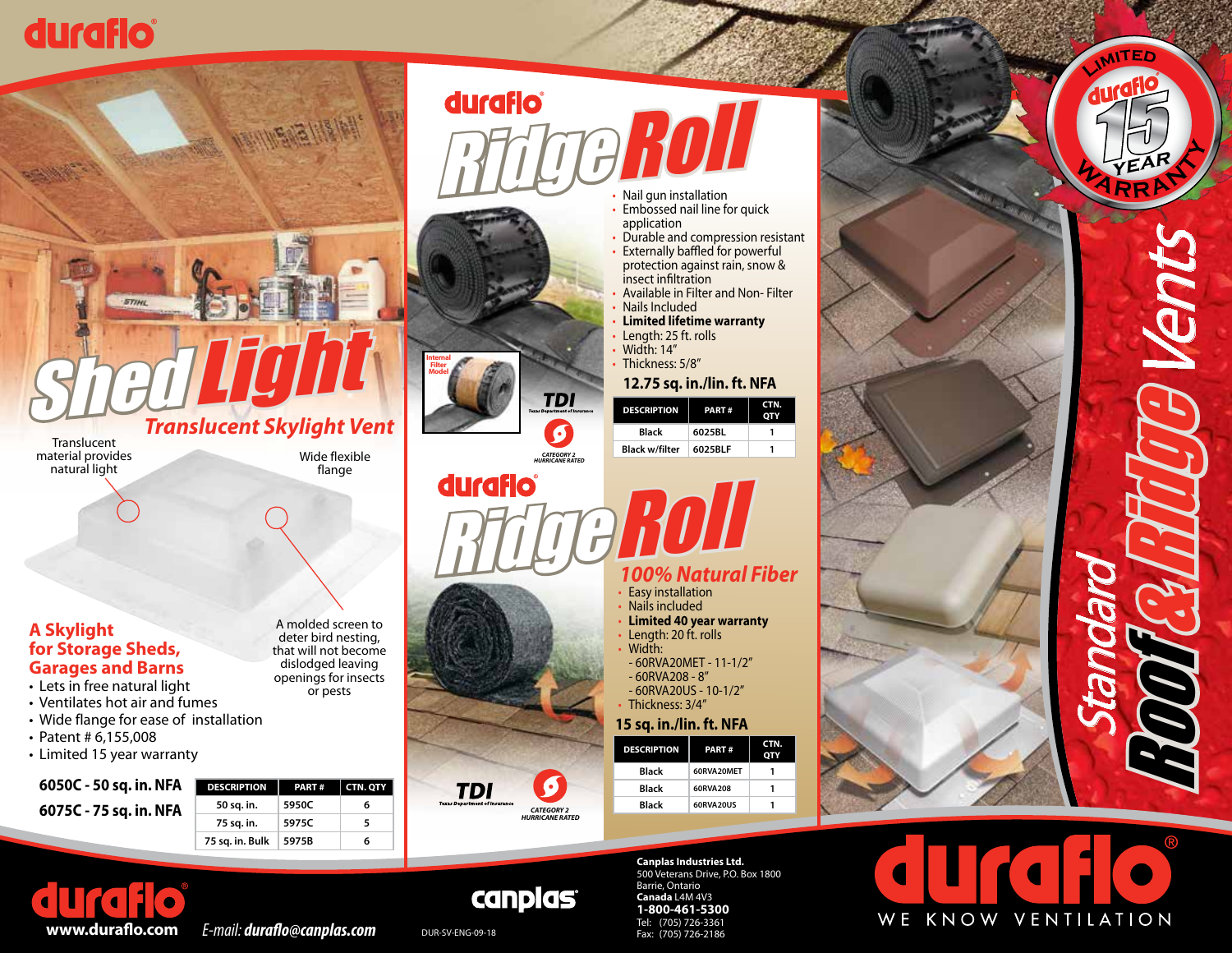## duraflo



material provides natural light

flange

A molded screen to deter bird nesting, that will not become dislodged leaving openings for insects or pests

**Internal Filter Model**

**Constructed for:**

*& DENTING CATEGORY 2 HURRICANE RATED*

**TDI** 

*& DENTING CATEGORY 2 HURRICANE RATED*

### **A Skylight for Storage Sheds, Garages and Barns**

- Lets in free natural light • Ventilates hot air and fumes
- Wide flange for ease of installation
- Patent # 6,155,008
- Limited 15 year warranty

**6050C - 50 sq. in. NFA 6075C - 75 sq. in. NFA**

| IFA | <b>DESCRIPTION</b> | PART# | <b>CTN. QTY</b> |
|-----|--------------------|-------|-----------------|
| IFA | 50 sq. in.         | 5950C |                 |
|     | 75 sq. in.         | 5975C |                 |
|     | 75 sq. in. Bulk    | 5975B |                 |



- 
- application
- Durable and compression resistant **Externally baffled for powerful** protection against rain, snow &
- insect infiltration • Available in Filter and Non- Filter
- Nails Included • **Limited lifetime warranty**
- Length: 25 ft. rolls • Width: 14"

• Thickness: 5/8"

**12.75 sq. in./lin. ft. NFA**

| æ | <b>DESCRIPTION</b>    | PART#   | CTN. |  |
|---|-----------------------|---------|------|--|
|   | <b>Black</b>          | 6025BL  |      |  |
|   | <b>Black w/filter</b> | 6025BLF |      |  |
|   |                       |         |      |  |

# **Ridge Roll** *100% Natural Fiber*

- Easy installation<br>• Nails included
- 
- Limited 40 year warranty
- Length: 20 ft. rolls • Width:
- 60RVA20MET 11-1/2" - 60RVA208 - 8"
- 60RVA20US 10-1/2" • Thickness: 3/4"

**15 sq. in./lin. ft. NFA**







**<sup>L</sup><sup>i</sup>mi<sup>t</sup> e d**

WE KNOW VENTILATION



### **canplas** DUR-SV-ENG-09-18

**Construction**